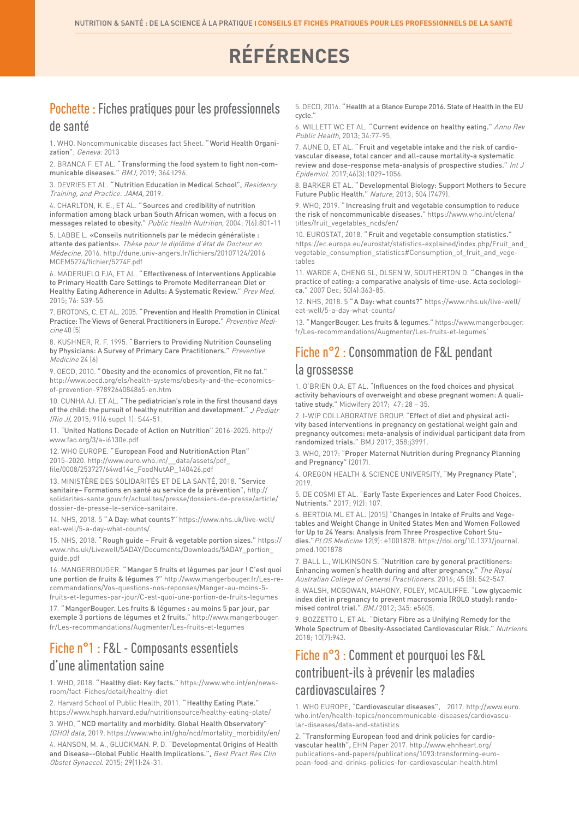# **RÉFÉRENCES**

#### Pochette : Fiches pratiques pour les professionnels de santé

1. WHO. Noncommunicable diseases fact Sheet. " World Health Organization"; Geneva: 2013

2. BRANCA F. ET AL. " Transforming the food system to fight non-communicable diseases." BMJ, 2019; 364:l296.

3. DEVRIES ET AL. " Nutrition Education in Medical School", Residency Training, and Practice. JAMA, 2019.

4. CHARLTON, K. E., ET AL. " Sources and credibility of nutrition information among black urban South African women, with a focus on messages related to obesity." Public Health Nutrition, 2004; 7(6):801-11

5. LABBE L. «Conseils nutritionnels par le médecin généraliste : attente des patients». Thèse pour le diplôme d'état de Docteur en Médecine. 2016. http://dune.univ-angers.fr/fichiers/20107124/2016 MCEM5274/fichier/5274F.pdf

6. MADERUELO FJA, ET AL. " Effectiveness of Interventions Applicable to Primary Health Care Settings to Promote Mediterranean Diet or Healthy Eating Adherence in Adults: A Systematic Review." Prev Med. 2015; 76: S39-55.

7. BROTONS, C, ET AL. 2005. " Prevention and Health Promotion in Clinical Practice: The Views of General Practitioners in Europe." Preventive Medicine 40 (5)

8. KUSHNER, R. F. 1995. " Barriers to Providing Nutrition Counseling by Physicians: A Survey of Primary Care Practitioners." Preventive Medicine 24 (6)

9. OECD, 2010. " Obesity and the economics of prevention, Fit no fat." http://www.oecd.org/els/health-systems/obesity-and-the-economicsof-prevention-9789264084865-en.htm

10. CUNHA AJ. ET AL. " The pediatrician's role in the first thousand days of the child: the pursuit of healthy nutrition and development." J Pediatr (Rio J), 2015; 91(6 suppl 1): S44-51.

11. "United Nations Decade of Action on Nutrition" 2016-2025. http:// www.fao.org/3/a-i6130e.pdf

12. WHO EUROPE. " European Food and NutritionAction Plan" 2015–2020. http://www.euro.who.int/\_\_data/assets/pdf\_ file/0008/253727/64wd14e\_FoodNutAP\_140426.pdf

13. MINISTÈRE DES SOLIDARITÉS ET DE LA SANTÉ, 2018. "Service sanitaire– Formations en santé au service de la prévention", http:// solidarites-sante.gouv.fr/actualites/presse/dossiers-de-presse/article/ dossier-de-presse-le-service-sanitaire.

14. NHS, 2018. 5 " A Day: what counts?" https://www.nhs.uk/live-well/ eat-well/5-a-day-what-counts/

15. NHS, 2018. " Rough guide – Fruit & vegetable portion sizes." https:// www.nhs.uk/Livewell/5ADAY/Documents/Downloads/5ADAY\_portion\_ guide.pdf

16. MANGERBOUGER. " Manger 5 fruits et légumes par jour ! C'est quoi une portion de fruits & légumes ?" http://www.mangerbouger.fr/Les-recommandations/Vos-questions-nos-reponses/Manger-au-moins-5 fruits-et-legumes-par-jour/C-est-quoi-une-portion-de-fruits-legumes

17. " MangerBouger. Les fruits & légumes : au moins 5 par jour, par exemple 3 portions de légumes et 2 fruits." http://www.mangerbouger. fr/Les-recommandations/Augmenter/Les-fruits-et-legumes

#### Fiche n°1 : F&L - Composants essentiels d'une alimentation saine

1. WHO, 2018. " Healthy diet: Key facts." https://www.who.int/en/newsroom/fact-Fiches/detail/healthy-diet

2. Harvard School of Public Health, 2011. " Healthy Eating Plate." https://www.hsph.harvard.edu/nutritionsource/healthy-eating-plate/

3. WHO, " NCD mortality and morbidity. Global Health Observatory" (GHO) data, 2019. https://www.who.int/gho/ncd/mortality\_morbidity/en/

4. HANSON, M. A., GLUCKMAN. P. D. "Developmental Origins of Health and Disease--Global Public Health Implications.", Best Pract Res Clin Obstet Gynaecol. 2015; 29(1):24-31.

5. OECD, 2016. " Health at a Glance Europe 2016. State of Health in the EU cycle."

6. WILLETT WC ET AL. " Current evidence on healthy eating." Annu Rev Public Health, 2013; 34:77-95.

7. AUNE D, ET AL. " Fruit and vegetable intake and the risk of cardiovascular disease, total cancer and all-cause mortality-a systematic review and dose-response meta-analysis of prospective studies." Int J Epidemiol. 2017;46(3):1029–1056.

8. BARKER ET AL. " Developmental Biology: Support Mothers to Secure Future Public Health." Nature, 2013; 504 (7479).

9. WHO, 2019. " Increasing fruit and vegetable consumption to reduce the risk of noncommunicable diseases." https://www.who.int/elena/ titles/fruit\_vegetables\_ncds/en/

10. EUROSTAT, 2018. " Fruit and vegetable consumption statistics." https://ec.europa.eu/eurostat/statistics-explained/index.php/Fruit\_and\_ vegetable\_consumption\_statistics#Consumption\_of\_fruit\_and\_vegetables

11. WARDE A, CHENG SL, OLSEN W, SOUTHERTON D. " Changes in the practice of eating: a comparative analysis of time-use. Acta sociologica." 2007 Dec; 50(4):363-85.

12. NHS, 2018. 5 " A Day: what counts?" https://www.nhs.uk/live-well/ eat-well/5-a-day-what-counts/

13. " MangerBouger. Les fruits & legumes." https://www.mangerbouger. fr/Les-recommandations/Augmenter/Les-fruits-et-legumes

### Fiche n°2 : Consommation de F&L pendant

#### la grossesse

1. O'BRIEN O.A. ET AL. "Influences on the food choices and physical activity behaviours of overweight and obese pregnant women: A qualitative study." Midwifery 2017; 47: 28 – 35.

2. I-WIP COLLABORATIVE GROUP. "Effect of diet and physical activity based interventions in pregnancy on gestational weight gain and pregnancy outcomes: meta-analysis of individual participant data from randomized trials." BMJ 2017; 358:j3991.

3. WHO, 2017: "Proper Maternal Nutrition during Pregnancy Planning and Pregnancy" (2017).

4. OREGON HEALTH & SCIENCE UNIVERSITY, "My Pregnancy Plate", 2019.

5. DE COSMI ET AL. "Early Taste Experiences and Later Food Choices. Nutrients." 2017; 9(2): 107.

6. BERTOIA ML ET AL. (2015) "Changes in Intake of Fruits and Vegetables and Weight Change in United States Men and Women Followed for Up to 24 Years: Analysis from Three Prospective Cohort Studies."PLOS Medicine 12(9): e1001878. https://doi.org/10.1371/journal. pmed.1001878

7. BALL L., WILKINSON S. "Nutrition care by general practitioners: Enhancing women's health during and after pregnancy." The Royal Australian College of General Practitioners. 2016; 45 (8): 542-547.

8. WALSH, MCGOWAN, MAHONY, FOLEY, MCAULIFFE. "Low glycaemic index diet in pregnancy to prevent macrosomia (ROLO study): randomised control trial." BMJ 2012; 345: e5605.

9. BOZZETTO L, ET AL. "Dietary Fibre as a Unifying Remedy for the Whole Spectrum of Obesity-Associated Cardiovascular Risk." Nutrients. 2018; 10(7):943.

#### Fiche n°3 : Comment et pourquoi les F&L contribuent-ils à prévenir les maladies cardiovasculaires ?

1. WHO EUROPE, "Cardiovascular diseases", 2017. http://www.euro. who.int/en/health-topics/noncommunicable-diseases/cardiovascular-diseases/data-and-statistics

2. "Transforming European food and drink policies for cardiovascular health", EHN Paper 2017. http://www.ehnheart.org/ publications-and-papers/publications/1093:transforming-european-food-and-drinks-policies-for-cardiovascular-health.html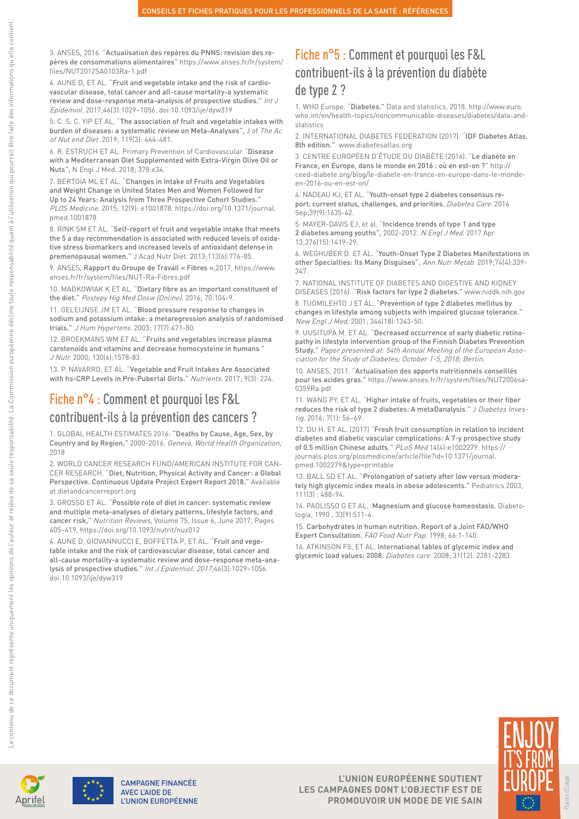3. ANSES, 2016. "Actualisation des repères du PNNS: revision des repères de consommations alimentaires" https://www.anses.fr/fr/system/ files/NUT2012SA0103Ra-1.pdf

4. AUNE D, ET AL. "Fruit and vegetable intake and the risk of cardiovascular disease, total cancer and all-cause mortality-a systematic review and dose-response meta-analysis of prospective studies." Int J Epidemiol. 2017;46(3):1029–1056. doi:10.1093/ije/dyw319

5. C. S. C. YIP ET AL, "The association of fruit and vegetable intakes with burden of diseases: a systematic review on Meta-Analyses", J of The Ac of Nut end Diet. 2019; 119(3): 464-481.

6. R. ESTRUCH ET AL. Primary Prevention of Cardiovascular "Disease with a Mediterranean Diet Supplemented with Extra-Virgin Olive Oil or Nuts", N Engl J Med. 2018; 378:e34.

7. BERTOIA ML ET AL. "Changes in Intake of Fruits and Vegetables and Weight Change in United States Men and Women Followed for Up to 24 Years: Analysis from Three Prospective Cohort Studies." PLOS Medicine. 2015; 12(9): e1001878. https://doi.org/10.1371/journal. pmed.1001878

8. RINK SM ET AL. "Self-report of fruit and vegetable intake that meets the 5 a day recommendation is associated with reduced levels of oxidative stress biomarkers and increased levels of antioxidant defense in premenopausal women." J Acad Nutr Diet. 2013;113(6):776-85.

9. ANSES, Rapport du Groupe de Travail « Fibres »,2017, https://www. anses.fr/fr/system/files/NUT-Ra-Fibres.pdf

10. MAĐKOWIAK K ET AL. "Dietary fibre as an important constituent of the diet." Postepy Hig Med Dosw (Online). 2016; 70:104-9.

11. GELEIJNSE JM ET AL. "Blood pressure response to changes in sodium and potassium intake: a metaregression analysis of randomised trials." J Hum Hypertens. 2003; 17(7):471-80.

12. BROEKMANS WM ET AL. "Fruits and vegetables increase plasma carotenoids and vitamins and decrease homocysteine in humans." J Nutr. 2000; 130(6):1578-83.

13. P. NAVARRO, ET AL. "Vegetable and Fruit Intakes Are Associated with hs-CRP Levels in Pre-Pubertal Girls." Nutrients. 2017; 9(3): 224.

#### Fiche n°4 : Comment et pourquoi les F&L contribuent-ils à la prévention des cancers ?

1. GLOBAL HEALTH ESTIMATES 2016: "Deaths by Cause, Age, Sex, by Country and by Region," 2000-2016. Geneva, World Health Organization; 2018

2. WORLD CANCER RESEARCH FUND/AMERICAN INSTITUTE FOR CAN-CER RESEARCH. "Diet, Nutrition, Physical Activity and Cancer: a Global Perspective. Continuous Update Project Expert Report 2018." Available at dietandcancerreport.org

3. GROSSO ET AL. "Possible role of diet in cancer: systematic review and multiple meta-analyses of dietary patterns, lifestyle factors, and cancer risk," Nutrition Reviews, Volume 75, Issue 6, June 2017, Pages 405–419, https://doi.org/10.1093/nutrit/nux012

4. AUNE D, GIOVANNUCCI E, BOFFETTA P, ET AL. "Fruit and vegetable intake and the risk of cardiovascular disease, total cancer and all-cause mortality-a systematic review and dose-response meta-analysis of prospective studies." Int J Epidemiol. 2017;46(3):1029–1056. doi:10.1093/ije/dyw319

#### Fiche n°5 : Comment et pourquoi les F&L contribuent-ils à la prévention du diabète de type 2 ?

1. WHO Europe. "Diabetes." Data and statistics, 2018. http://www.euro. who.int/en/health-topics/noncommunicable-diseases/diabetes/data-andstatistics

2. INTERNATIONAL DIABETES FEDERATION (2017). "IDF Diabetes Atlas. 8th edition." www.diabetesatlas.org

3. CENTRE EUROPÉEN D'ÉTUDE DU DIABÈTE (2016). "Le diabète en France, en Europe, dans le monde en 2016 : où en est-on ?" http:// ceed-diabete.org/blog/le-diabete-en-france-en-europe-dans-le-mondeen-2016-ou-en-est-on/

4. NADEAU KJ, ET AL. "Youth-onset type 2 diabetes consensus report: current status, challenges, and priorities. Diabetes Care. 2016 Sep;39(9):1635-42.

5. MAYER-DAVIS EJ, et al. "Incidence trends of type 1 and type 2 diabetes among youths", 2002-2012. N Engl J Med. 2017 Apr 13;376(15):1419-29.

6. WEGHUBER D. ET AL. "Youth-Onset Type 2 Diabetes Manifestations in other Specialties: Its Many Disguises". Ann Nutr Metab. 2019;74(4):339- 347.

7. NATIONAL INSTITUTE OF DIABETES AND DIGESTIVE AND KIDNEY DISEASES (2016). "Risk factors for type 2 diabetes." www.niddk.nih.gov

8. TUOMILEHTO J ET AL. "Prevention of type 2 diabetes mellitus by changes in lifestyle among subjects with impaired glucose tolerance." New Engl J Med, 2001; 344(18):1343-50.

9. UUSITUPA M. ET AL. "Decreased occurrence of early diabetic retinopathy in lifestyle intervention group of the Finnish Diabetes Prevention Study." Paper presented at: 54th Annual Meeting of the European Association for the Study of Diabetes; October 1-5, 2018; Berlin.

10. ANSES, 2011. "Actualisation des apports nutritionnels conseillés pour les acides gras." https://www.anses.fr/fr/system/files/NUT2006sa-0359Ra.pdf

11. WANG PY. ET AL. "Higher intake of fruits, vegetables or their fiber reduces the risk of type 2 diabetes: A metaĐanalysis." J Diabetes Investig. 2016: 7[1]: 56-69.

12. DU H. ET AL. (2017) "Fresh fruit consumption in relation to incident diabetes and diabetic vascular complications: A 7-y prospective study of 0.5 million Chinese adults." PLoS Med 14(4):e1002279. https:// journals.plos.org/plosmedicine/article/file?id=10.1371/journal. pmed.1002279&type=printable

13. BALL SD ET AL. "Prolongation of satiety after low versus moderately high glycemic index meals in obese adolescents." Pediatrics 2003, 111(3) : 488-94.

14. PAOLISSO G ET AL. Magnesium and glucose homeostasis. Diabetologia, 1990 , 33(9):511-4.

15. Carbohydrates in human nutrition. Report of a Joint FAO/WHO Expert Consultation. FAO Food Nutr Pap. 1998; 66:1-140.

16. ATKINSON FS, ET AL. International tables of glycemic index and glycemic load values: 2008. Diabetes care. 2008; 31(12). 2281-2283.